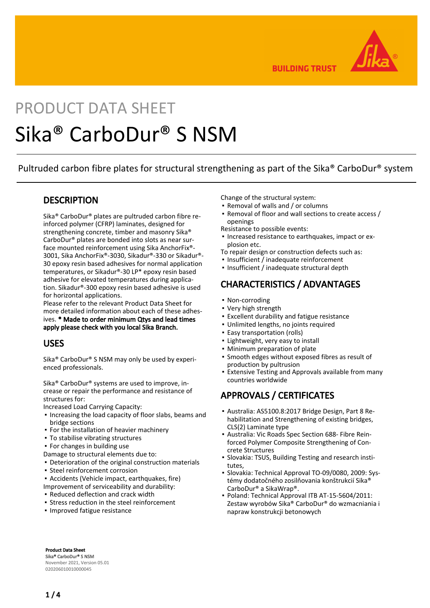

**BUILDING TRUST** 

# PRODUCT DATA SHEFT Sika® CarboDur® S NSM

Pultruded carbon fibre plates for structural strengthening as part of the Sika® CarboDur® system

#### **DESCRIPTION**

Sika® CarboDur® plates are pultruded carbon fibre reinforced polymer (CFRP) laminates, designed for strengthening concrete, timber and masonry Sika® CarboDur® plates are bonded into slots as near surface mounted reinforcement using Sika AnchorFix®- 3001, Sika AnchorFix®-3030, Sikadur®-330 or Sikadur®- 30 epoxy resin based adhesives for normal application temperatures, or Sikadur®-30 LP\* epoxy resin based adhesive for elevated temperatures during application. Sikadur®-300 epoxy resin based adhesive is used for horizontal applications.

Please refer to the relevant Product Data Sheet for more detailed information about each of these adhesives. \* Made to order minimum Qtys and lead times apply please check with you local Sika Branch.

#### USES

Sika® CarboDur® S NSM may only be used by experienced professionals.

Sika® CarboDur® systems are used to improve, increase or repair the performance and resistance of structures for:

Increased Load Carrying Capacity:

- **.** Increasing the load capacity of floor slabs, beams and bridge sections
- **For the installation of heavier machinery**
- **To stabilise vibrating structures**
- For changes in building use
- Damage to structural elements due to:
- **Deterioration of the original construction materials**
- **· Steel reinforcement corrosion**
- Accidents (Vehicle impact, earthquakes, fire)

Improvement of serviceability and durability:

- Reduced deflection and crack width
- **Stress reduction in the steel reinforcement**
- Improved fatigue resistance

Change of the structural system:

- Removal of walls and / or columns
- Removal of floor and wall sections to create access / openings
- Resistance to possible events:
- **.** Increased resistance to earthquakes, impact or explosion etc.
- To repair design or construction defects such as:
- Insufficient / inadequate reinforcement
- Insufficient / inadequate structural depth

# CHARACTERISTICS / ADVANTAGES

- Non-corroding
- Very high strength
- Excellent durability and fatigue resistance
- Unlimited lengths, no joints required
- Easy transportation (rolls)
- **.** Lightweight, very easy to install
- Minimum preparation of plate
- **•** Smooth edges without exposed fibres as result of production by pultrusion
- Extensive Testing and Approvals available from many countries worldwide ▪

#### APPROVALS / CERTIFICATES

- Australia: AS5100.8:2017 Bridge Design, Part 8 Re-▪ habilitation and Strengthening of existing bridges, CLS(2) Laminate type
- Australia: Vic Roads Spec Section 688- Fibre Rein-▪ forced Polymer Composite Strengthening of Concrete Structures
- Slovakia: TSUS, Building Testing and research institutes,
- Slovakia: Technical Approval TO-09/0080, 2009: Systémy dodatočného zosilňovania konštrukcií Sika® CarboDur® a SikaWrap®.
- Poland: Technical Approval ITB AT-15-5604/2011: Zestaw wyrobów Sika® CarboDur® do wzmacniania i napraw konstrukcji betonowych

Product Data Sheet Sika® CarboDur® S NSM November 2021, Version 05.01 020206010010000045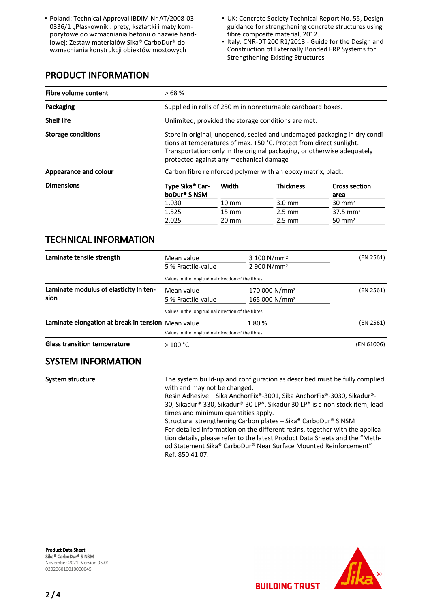- Poland: Technical Approval IBDiM Nr AT/2008-03- 0336/1 "Płaskowniki. pręty, kształtki i maty kompozytowe do wzmacniania betonu o nazwie handlowej: Zestaw materiałów Sika® CarboDur® do wzmacniania konstrukcji obiektów mostowych
- Poland: Technical Approval IBDiM Nr AT/2008-03- UK: Concrete Society Technical Report No. 55, Design guidance for strengthening concrete structures using fibre composite material, 2012.
	- Italy: CNR-DT 200 R1/2013 Guide for the Design and Construction of Externally Bonded FRP Systems for Strengthening Existing Structures

# PRODUCT INFORMATION

| Fibre volume content      | >68%                                                    |                                                                                                                                                                                                                                                                        |                  |                              |  |
|---------------------------|---------------------------------------------------------|------------------------------------------------------------------------------------------------------------------------------------------------------------------------------------------------------------------------------------------------------------------------|------------------|------------------------------|--|
| Packaging                 |                                                         | Supplied in rolls of 250 m in nonreturnable cardboard boxes.                                                                                                                                                                                                           |                  |                              |  |
| <b>Shelf life</b>         |                                                         | Unlimited, provided the storage conditions are met.                                                                                                                                                                                                                    |                  |                              |  |
| <b>Storage conditions</b> |                                                         | Store in original, unopened, sealed and undamaged packaging in dry condi-<br>tions at temperatures of max. +50 °C. Protect from direct sunlight.<br>Transportation: only in the original packaging, or otherwise adequately<br>protected against any mechanical damage |                  |                              |  |
| Appearance and colour     |                                                         | Carbon fibre reinforced polymer with an epoxy matrix, black.                                                                                                                                                                                                           |                  |                              |  |
| <b>Dimensions</b>         | Type Sika <sup>®</sup> Car-<br>boDur <sup>®</sup> S NSM | Width                                                                                                                                                                                                                                                                  | <b>Thickness</b> | <b>Cross section</b><br>area |  |
|                           | 1.030                                                   | $10 \text{ mm}$                                                                                                                                                                                                                                                        | $3.0 \text{ mm}$ | $30 \text{ mm}^2$            |  |
|                           | 1.525                                                   | $15 \text{ mm}$                                                                                                                                                                                                                                                        | $2.5 \text{ mm}$ | $37.5 \, \text{mm}^2$        |  |
|                           | 2.025                                                   | $20 \text{ mm}$                                                                                                                                                                                                                                                        | $2.5 \text{ mm}$ | $50 \text{ mm}^2$            |  |

#### TECHNICAL INFORMATION

| Laminate tensile strength                          | Mean value                                         | $3100 N/mm^2$             | (EN 2561)  |
|----------------------------------------------------|----------------------------------------------------|---------------------------|------------|
|                                                    | 5 % Fractile-value                                 | 2 900 N/mm <sup>2</sup>   |            |
|                                                    | Values in the longitudinal direction of the fibres |                           |            |
| Laminate modulus of elasticity in ten-             | Mean value                                         | 170 000 N/mm <sup>2</sup> | (EN 2561)  |
| sion                                               | 5 % Fractile-value                                 | 165 000 N/mm <sup>2</sup> |            |
|                                                    | Values in the longitudinal direction of the fibres |                           |            |
| Laminate elongation at break in tension Mean value |                                                    | 1.80%                     | (EN 2561)  |
|                                                    | Values in the longitudinal direction of the fibres |                           |            |
| <b>Glass transition temperature</b>                | >100 °C                                            |                           | (EN 61006) |

#### SYSTEM INFORMATION

| System structure | The system build-up and configuration as described must be fully complied<br>with and may not be changed.<br>Resin Adhesive – Sika AnchorFix®-3001, Sika AnchorFix®-3030, Sikadur®-<br>30, Sikadur®-330, Sikadur®-30 LP*. Sikadur 30 LP* is a non stock item, lead |
|------------------|--------------------------------------------------------------------------------------------------------------------------------------------------------------------------------------------------------------------------------------------------------------------|
|                  | times and minimum quantities apply.<br>Structural strengthening Carbon plates - Sika® CarboDur® S NSM                                                                                                                                                              |
|                  | For detailed information on the different resins, together with the applica-<br>tion details, please refer to the latest Product Data Sheets and the "Meth-<br>od Statement Sika® CarboDur® Near Surface Mounted Reinforcement"                                    |
|                  | Ref: 850 41 07.                                                                                                                                                                                                                                                    |

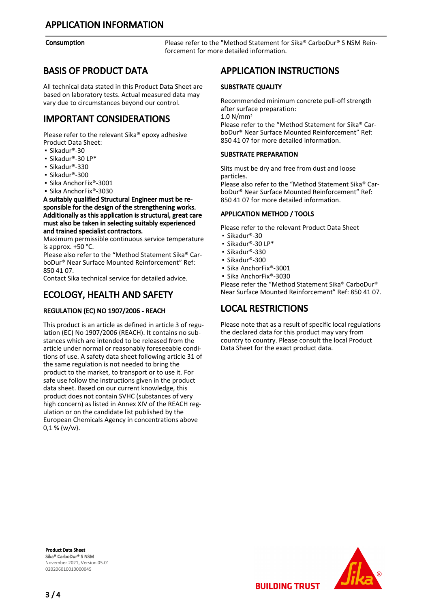Consumption **Please refer to the "Method Statement for Sika® CarboDur® S NSM Rein**forcement for more detailed information.

#### BASIS OF PRODUCT DATA

All technical data stated in this Product Data Sheet are based on laboratory tests. Actual measured data may vary due to circumstances beyond our control.

# IMPORTANT CONSIDERATIONS

Please refer to the relevant Sika® epoxy adhesive Product Data Sheet:

- Sikadur®-30
- Sikadur®-30 LP\*
- Sikadur®-330
- Sikadur®-300
- Sika AnchorFix®-3001
- Sika AnchorFix®-3030

A suitably qualified Structural Engineer must be responsible for the design of the strengthening works. Additionally as this application is structural, great care must also be taken in selecting suitably experienced and trained specialist contractors.

Maximum permissible continuous service temperature is approx. +50 °C.

Please also refer to the "Method Statement Sika® CarboDur® Near Surface Mounted Reinforcement" Ref: 850 41 07.

Contact Sika technical service for detailed advice.

# ECOLOGY, HEALTH AND SAFETY

#### REGULATION (EC) NO 1907/2006 - REACH

This product is an article as defined in article 3 of regulation (EC) No 1907/2006 (REACH). It contains no substances which are intended to be released from the article under normal or reasonably foreseeable conditions of use. A safety data sheet following article 31 of the same regulation is not needed to bring the product to the market, to transport or to use it. For safe use follow the instructions given in the product data sheet. Based on our current knowledge, this product does not contain SVHC (substances of very high concern) as listed in Annex XIV of the REACH regulation or on the candidate list published by the European Chemicals Agency in concentrations above  $0,1 %$  (w/w).

#### APPLICATION INSTRUCTIONS

#### SUBSTRATE QUALITY

Recommended minimum concrete pull-off strength after surface preparation:

1.0 N/mm<sup>2</sup>

Please refer to the "Method Statement for Sika® CarboDur® Near Surface Mounted Reinforcement" Ref: 850 41 07 for more detailed information.

#### SUBSTRATE PREPARATION

Slits must be dry and free from dust and loose particles.

Please also refer to the "Method Statement Sika® CarboDur® Near Surface Mounted Reinforcement" Ref: 850 41 07 for more detailed information.

#### APPLICATION METHOD / TOOLS

Please refer to the relevant Product Data Sheet

- Sikadur®-30
- Sikadur®-30 LP\*
- Sikadur®-330
- Sikadur®-300
- Sika AnchorFix®-3001
- Sika AnchorFix®-3030

Please refer the "Method Statement Sika® CarboDur® Near Surface Mounted Reinforcement" Ref: 850 41 07.

# LOCAL RESTRICTIONS

Please note that as a result of specific local regulations the declared data for this product may vary from country to country. Please consult the local Product Data Sheet for the exact product data.

**BUILDING TRUST** 

Product Data Sheet Sika® CarboDur® S NSM November 2021, Version 05.01 020206010010000045